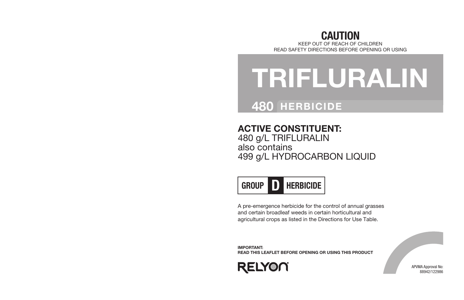## CAUTION

KEEP OUT OF REACH OF CHILDREN READ SAFETY DIRECTIONS BEFORE OPENING OR USING

# TRIFLURALIN

## 480 HERBICIDE

### ACTIVE CONSTITUENT:

480 g/L TRIFLURALIN also contains 499 g/L HYDROCARBON LIQUID



A pre-emergence herbicide for the control of annual grasses and certain broadleaf weeds in certain horticultural and agricultural crops as listed in the Directions for Use Table.

IMPORTANT: READ THIS LEAFLET BEFORE OPENING OR USING THIS PRODUCT



APVMA Approval No: 88942/122986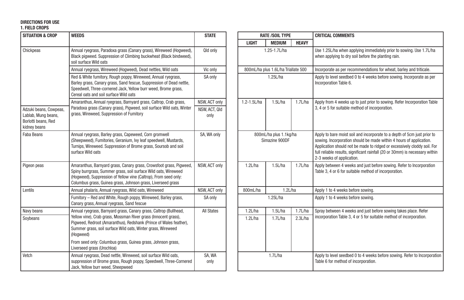#### DIRECTIONS FOR USE

#### 1. FIELD CROPS

| <b>SITUATION &amp; CROP</b>                                                          | <b>WEEDS</b>                                                                                                                                                                                                                                                               | <b>STATE</b>          |                                          | <b>RATE /SOIL TYPE</b>              |              | <b>CRITICAL COMMENTS</b>                                                                                                                                                                                                                                                                                         |
|--------------------------------------------------------------------------------------|----------------------------------------------------------------------------------------------------------------------------------------------------------------------------------------------------------------------------------------------------------------------------|-----------------------|------------------------------------------|-------------------------------------|--------------|------------------------------------------------------------------------------------------------------------------------------------------------------------------------------------------------------------------------------------------------------------------------------------------------------------------|
|                                                                                      |                                                                                                                                                                                                                                                                            |                       | <b>LIGHT</b>                             | <b>MEDIUM</b>                       | <b>HEAVY</b> |                                                                                                                                                                                                                                                                                                                  |
| Chickpeas                                                                            | Annual ryegrass, Paradoxa grass (Canary grass), Wireweed (Hogweed),<br>Black pigweed. Suppression of Climbing buckwheat (Black bindweed),<br>soil surface Wild oats                                                                                                        | Qld only              | 1.25-1.7L/ha                             |                                     |              | Use 1.25L/ha when applying immediately prior to sowing. Use 1.<br>when applying to dry soil before the planting rain.                                                                                                                                                                                            |
|                                                                                      | Annual ryegrass, Wireweed (Hogweed), Dead nettles, Wild oats                                                                                                                                                                                                               | Vic only              |                                          | 800mL/ha plus 1.6L/ha Triallate 500 |              | Incorporate as per recommendations for wheat, barley and tritical                                                                                                                                                                                                                                                |
|                                                                                      | Red & White fumitory, Rough poppy, Wireweed, Annual ryegrass,<br>Barley grass, Canary grass, Sand fescue, Suppression of Dead nettle,<br>Speedwell, Three-cornered Jack, Yellow burr weed, Brome grass,<br>Cereal oats and soil surface Wild oats                          | SA only               |                                          | 1.25L/ha                            |              | Apply to level seedbed 0 to 4 weeks before sowing. Incorporate a<br>Incorporation Table 6.                                                                                                                                                                                                                       |
|                                                                                      | Amaranthus, Annual ryegrass, Barnyard grass, Caltrop, Crab grass,                                                                                                                                                                                                          | NSW, ACT only         | 1.2-1.5L/ha                              | 1.5L/ha                             | 1.7L/ha      | Apply from 4 weeks up to just prior to sowing. Refer Incorporatio                                                                                                                                                                                                                                                |
| Adzuki beans, Cowpeas,<br>Lablab, Mung beans,<br>Borlotti beans, Red<br>kidney beans | Paradoxa grass (Canary grass), Pigweed, soil surface Wild oats, Winter<br>grass, Wireweed, Suppression of Fumitory                                                                                                                                                         | NSW, ACT, Qld<br>only |                                          |                                     |              | 3, 4 or 5 for suitable method of incorporation.                                                                                                                                                                                                                                                                  |
| Faba Beans                                                                           | Annual ryegrass, Barley grass, Capeweed, Corn gromwell<br>(Sheepweed), Fumitories, Geranium, Ivy leaf speedwell, Mustards,<br>Turnips, Wireweed. Suppression of Brome grass, Soursob and soil<br>surface Wild oats                                                         | SA, WA only           | 800mL/ha plus 1.1kg/ha<br>Simazine 900DF |                                     |              | Apply to bare moist soil and incorporate to a depth of 5cm just po<br>sowing. Incorporation should be made within 4 hours of applicati<br>Application should not be made to ridged or excessively cloddy s<br>full reliable results, significant rainfall (20 or 30mm) is necessary<br>2-3 weeks of application. |
| Pigeon peas                                                                          | Amaranthus, Barnyard grass, Canary grass, Crowsfoot grass, Pigweed,<br>Spiny burrgrass, Summer grass, soil surface Wild oats, Wireweed<br>(Hogweed), Suppression of Yellow vine (Caltrop), From seed only:<br>Columbus grass, Guinea grass, Johnson grass, Liverseed grass | NSW, ACT only         | 1.2L/ha                                  | 1.5L/ha                             | 1.7L/ha      | Apply between 4 weeks and just before sowing. Refer to Incorpor<br>Table 3, 4 or 6 for suitable method of incorporation.                                                                                                                                                                                         |
| Lentils                                                                              | Annual phalaris, Annual ryegrass, Wild oats, Wireweed                                                                                                                                                                                                                      | NSW, ACT only         | 800mL/ha                                 | 1.2L/ha                             |              | Apply 1 to 4 weeks before sowing.                                                                                                                                                                                                                                                                                |
|                                                                                      | Fumitory - Red and White, Rough poppy, Wireweed, Barley grass,<br>Canary grass, Annual ryegrass, Sand fescue                                                                                                                                                               | SA only               |                                          | 1.25L/ha                            |              | Apply 1 to 4 weeks before sowing.                                                                                                                                                                                                                                                                                |
| Navy beans                                                                           | Annual ryegrass, Barnyard grass, Canary grass, Caltrop (Bullhead,                                                                                                                                                                                                          | <b>All States</b>     | 1.2L/ha                                  | 1.5L/ha                             | 1.7L/ha      | Spray between 4 weeks and just before sowing takes place. Refe                                                                                                                                                                                                                                                   |
| Soybeans                                                                             | Yellow vine), Crab grass, Mossman River grass (Innocent grass),<br>Pigweed, Redroot (Amaranthus), Redshank (Prince of Wales feather),<br>Summer grass, soil surface Wild oats, Winter grass, Wireweed<br>(Hogweed)                                                         |                       | 1.2L/ha                                  | 1.7L/ha                             | 2.3L/ha      | incorporation Table 3, 4 or 5 for suitable method of incorporation                                                                                                                                                                                                                                               |
|                                                                                      | From seed only: Columbus grass, Guinea grass, Johnson grass,<br>Liverseed grass (Urochloa)                                                                                                                                                                                 |                       |                                          |                                     |              |                                                                                                                                                                                                                                                                                                                  |
| Vetch                                                                                | Annual ryegrass, Dead nettle, Wireweed, soil surface Wild oats,<br>suppression of Brome grass, Rough poppy, Speedwell, Three-Cornered<br>Jack, Yellow burr weed, Sheepweed                                                                                                 | SA, WA<br>only        | 1.7L/ha                                  |                                     |              | Apply to level seedbed 0 to 4 weeks before sowing. Refer to Inco<br>Table 6 for method of incorporation.                                                                                                                                                                                                         |

| <b>WEEDS</b>                                                                                                                                                                                                                                                               | <b>STATE</b>                           |                                          | <b>RATE /SOIL TYPE</b>              |              | <b>CRITICAL COMMENTS</b>                                                                                                                                                                                                                                                                                                                 |
|----------------------------------------------------------------------------------------------------------------------------------------------------------------------------------------------------------------------------------------------------------------------------|----------------------------------------|------------------------------------------|-------------------------------------|--------------|------------------------------------------------------------------------------------------------------------------------------------------------------------------------------------------------------------------------------------------------------------------------------------------------------------------------------------------|
|                                                                                                                                                                                                                                                                            |                                        | <b>LIGHT</b>                             | <b>MEDIUM</b>                       | <b>HEAVY</b> |                                                                                                                                                                                                                                                                                                                                          |
| Annual ryegrass, Paradoxa grass (Canary grass), Wireweed (Hogweed),<br>Black pigweed. Suppression of Climbing buckwheat (Black bindweed),<br>soil surface Wild oats                                                                                                        | Qld only                               | 1.25-1.7L/ha                             |                                     |              | Use 1.25L/ha when applying immediately prior to sowing. Use 1.7L/ha<br>when applying to dry soil before the planting rain.                                                                                                                                                                                                               |
| Annual ryegrass, Wireweed (Hogweed), Dead nettles, Wild oats                                                                                                                                                                                                               | Vic only                               |                                          | 800mL/ha plus 1.6L/ha Triallate 500 |              | Incorporate as per recommendations for wheat, barley and triticale.                                                                                                                                                                                                                                                                      |
| Red & White fumitory, Rough poppy, Wireweed, Annual ryegrass,<br>Barley grass, Canary grass, Sand fescue, Suppression of Dead nettle,<br>Speedwell, Three-cornered Jack, Yellow burr weed, Brome grass,<br>Cereal oats and soil surface Wild oats                          | SA only                                |                                          | 1.25L/ha                            |              | Apply to level seedbed 0 to 4 weeks before sowing. Incorporate as per<br>Incorporation Table 6.                                                                                                                                                                                                                                          |
| Amaranthus, Annual ryegrass, Barnyard grass, Caltrop, Crab grass,<br>Paradoxa grass (Canary grass), Pigweed, soil surface Wild oats, Winter<br>grass, Wireweed, Suppression of Fumitory                                                                                    | NSW, ACT only<br>NSW, ACT, Qld<br>only | 1.2-1.5L/ha                              | 1.5L/ha                             | 1.7L/ha      | Apply from 4 weeks up to just prior to sowing. Refer Incorporation Table<br>3, 4 or 5 for suitable method of incorporation.                                                                                                                                                                                                              |
| Annual ryegrass, Barley grass, Capeweed, Corn gromwell<br>(Sheepweed), Fumitories, Geranium, Ivy leaf speedwell, Mustards,<br>Turnips, Wireweed. Suppression of Brome grass, Soursob and soil<br>surface Wild oats                                                         | SA, WA only                            | 800mL/ha plus 1.1kg/ha<br>Simazine 900DF |                                     |              | Apply to bare moist soil and incorporate to a depth of 5cm just prior to<br>sowing. Incorporation should be made within 4 hours of application.<br>Application should not be made to ridged or excessively cloddy soil. For<br>full reliable results, significant rainfall (20 or 30mm) is necessary within<br>2-3 weeks of application. |
| Amaranthus, Barnyard grass, Canary grass, Crowsfoot grass, Pigweed,<br>Spiny burrgrass, Summer grass, soil surface Wild oats, Wireweed<br>(Hogweed), Suppression of Yellow vine (Caltrop), From seed only:<br>Columbus grass, Guinea grass, Johnson grass, Liverseed grass | NSW, ACT only                          | 1.2L/ha                                  | 1.5L/ha                             | 1.7L/ha      | Apply between 4 weeks and just before sowing. Refer to Incorporation<br>Table 3, 4 or 6 for suitable method of incorporation.                                                                                                                                                                                                            |
| Annual phalaris, Annual ryegrass, Wild oats, Wireweed                                                                                                                                                                                                                      | NSW, ACT only                          | 800mL/ha                                 | 1.2L/ha                             |              | Apply 1 to 4 weeks before sowing.                                                                                                                                                                                                                                                                                                        |
| Fumitory - Red and White, Rough poppy, Wireweed, Barley grass,<br>Canary grass, Annual ryegrass, Sand fescue                                                                                                                                                               | SA only                                |                                          | 1.25L/ha                            |              | Apply 1 to 4 weeks before sowing.                                                                                                                                                                                                                                                                                                        |
| Annual ryegrass, Barnyard grass, Canary grass, Caltrop (Bullhead,                                                                                                                                                                                                          | <b>All States</b>                      | 1.2L/ha                                  | 1.5L/ha                             | 1.7L/ha      | Spray between 4 weeks and just before sowing takes place. Refer                                                                                                                                                                                                                                                                          |
| Yellow vine), Crab grass, Mossman River grass (Innocent grass),<br>Pigweed, Redroot (Amaranthus), Redshank (Prince of Wales feather),<br>Summer grass, soil surface Wild oats, Winter grass, Wireweed<br>(Hogweed)                                                         |                                        | 1.2L/ha                                  | 1.7L/ha                             | 2.3L/ha      | incorporation Table 3, 4 or 5 for suitable method of incorporation.                                                                                                                                                                                                                                                                      |
| From seed only: Columbus grass, Guinea grass, Johnson grass,<br>Liverseed grass (Urochloa)                                                                                                                                                                                 |                                        |                                          |                                     |              |                                                                                                                                                                                                                                                                                                                                          |
| Annual ryegrass, Dead nettle, Wireweed, soil surface Wild oats,<br>suppression of Brome grass, Rough poppy, Speedwell, Three-Cornered<br>Jack, Yellow burr weed, Sheepweed                                                                                                 | SA, WA<br>only                         | 1.7L/ha                                  |                                     |              | Apply to level seedbed 0 to 4 weeks before sowing. Refer to Incorporation<br>Table 6 for method of incorporation.                                                                                                                                                                                                                        |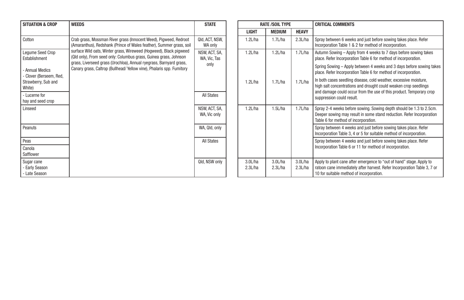| <b>SITUATION &amp; CROP</b>                        | <b>WEEDS</b>                                                                                                                                | <b>STATE</b>                  |  |                    | <b>RATE /SOIL TYPE</b> |                                                                                               | <b>CRITICAL COMMENTS</b>                                                                                                                                                            |
|----------------------------------------------------|---------------------------------------------------------------------------------------------------------------------------------------------|-------------------------------|--|--------------------|------------------------|-----------------------------------------------------------------------------------------------|-------------------------------------------------------------------------------------------------------------------------------------------------------------------------------------|
|                                                    |                                                                                                                                             |                               |  | <b>LIGHT</b>       | <b>MEDIUM</b>          | <b>HEAVY</b>                                                                                  |                                                                                                                                                                                     |
| Cotton                                             | Crab grass, Mossman River grass (Innocent Weed), Pigweed, Redroot<br>(Amaranthus), Redshank (Prince of Wales feather), Summer grass, soil   | QId, ACT, NSW,<br>WA only     |  | 1.2L/ha            | 1.7L/ha                | 2.3L/ha                                                                                       | Spray between 6 weeks and just before sowing takes place. Refer<br>Incorporation Table 1 & 2 for method of incorporation.                                                           |
| <b>Lequme Seed Crop</b><br>Establishment           | surface Wild oats, Winter grass, Wireweed (Hogweed), Black pigweed<br>(Qld only), From seed only: Columbus grass, Guinea grass, Johnson     | NSW, ACT, SA,<br>WA, Vic, Tas |  | 1.2L/ha            | 1.2L/ha                | 1.7L/ha                                                                                       | Autumn Sowing - Apply from 4 weeks to 7 days before sowing tak<br>place. Refer Incorporation Table 6 for method of incorporation.                                                   |
| <b>Annual Medics</b><br>- Clover (Berseem, Red,    | grass, Liverseed grass (Urochloa), Annual ryegrass, Barnyard grass,<br>Canary grass, Caltrop (Bullhead/Yellow vine), Phalaris spp. Fumitory | only                          |  |                    |                        |                                                                                               | Spring Sowing - Apply between 4 weeks and 3 days before sowing<br>place. Refer Incorporation Table 6 for method of incorporation.                                                   |
| Strawberry, Sub and<br>White)                      |                                                                                                                                             |                               |  | 1.2L/ha            | 1.7L/ha                | 1.7L/ha                                                                                       | In both cases seedling disease, cold weather, excessive moisture,<br>high salt concentrations and drought could weaken crop seedlings                                               |
| - Lucerne for<br>hay and seed crop                 |                                                                                                                                             | <b>All States</b>             |  |                    |                        | and damage could occur from the use of this product. Temporary o<br>suppression could result. |                                                                                                                                                                                     |
| Linseed                                            |                                                                                                                                             | NSW, ACT, SA,<br>WA, Vic only |  | 1.2L/ha            | 1.5L/ha                | 1.7L/ha                                                                                       | Spray 2-4 weeks before sowing. Sowing depth should be 1.3 to 2.<br>Deeper sowing may result in some stand reduction. Refer Incorpor<br>Table 6 for method of incorporation.         |
| Peanuts                                            |                                                                                                                                             | WA, Qld, only                 |  |                    |                        |                                                                                               | Spray between 4 weeks and just before sowing takes place. Refer<br>Incorporation Table 3, 4 or 5 for suitable method of incorporation.                                              |
| Peas                                               |                                                                                                                                             | <b>All States</b>             |  |                    |                        |                                                                                               | Spray between 4 weeks and just before sowing takes place. Refer                                                                                                                     |
| Canola<br>Safflower                                |                                                                                                                                             |                               |  |                    |                        |                                                                                               | Incorporation Table 6 or 11 for method of incorporation.                                                                                                                            |
| Sugar cane<br><b>Early Season</b><br>- Late Season |                                                                                                                                             | Qld, NSW only                 |  | 3.0L/ha<br>2.3L/ha | 3.0L/ha<br>2.3L/ha     | 3.0L/ha<br>2.3L/ha                                                                            | Apply to plant cane after emergence to "out of hand" stage. Apply<br>ratoon cane immediately after harvest. Refer Incorporation Table 3<br>10 for suitable method of incorporation. |

| <b>RATE /SOIL TYPE</b> |                    |                    | <b>CRITICAL COMMENTS</b>                                                                                                                                                                                                                  |  |  |  |  |
|------------------------|--------------------|--------------------|-------------------------------------------------------------------------------------------------------------------------------------------------------------------------------------------------------------------------------------------|--|--|--|--|
| <b>LIGHT</b>           | <b>MEDIUM</b>      | <b>HEAVY</b>       |                                                                                                                                                                                                                                           |  |  |  |  |
| 1.2L/ha                | $1.7$ L/ha         | 2.3L/ha            | Spray between 6 weeks and just before sowing takes place. Refer<br>Incorporation Table 1 & 2 for method of incorporation.                                                                                                                 |  |  |  |  |
| 1.2L/ha                | 1.2L/ha            | 1.7L/ha            | Autumn Sowing - Apply from 4 weeks to 7 days before sowing takes<br>place. Refer Incorporation Table 6 for method of incorporation.                                                                                                       |  |  |  |  |
|                        |                    |                    | Spring Sowing - Apply between 4 weeks and 3 days before sowing takes<br>place. Refer Incorporation Table 6 for method of incorporation.                                                                                                   |  |  |  |  |
| 1.2L/ha                | 171/ha             | 171/ha             | In both cases seedling disease, cold weather, excessive moisture,<br>high salt concentrations and drought could weaken crop seedlings<br>and damage could occur from the use of this product. Temporary crop<br>suppression could result. |  |  |  |  |
| 1.2L/ha                | 1.5L/ha            | 1.7L/ha            | Spray 2-4 weeks before sowing. Sowing depth should be 1.3 to 2.5cm.<br>Deeper sowing may result in some stand reduction. Refer Incorporation<br>Table 6 for method of incorporation.                                                      |  |  |  |  |
|                        |                    |                    | Spray between 4 weeks and just before sowing takes place. Refer<br>Incorporation Table 3, 4 or 5 for suitable method of incorporation.                                                                                                    |  |  |  |  |
|                        |                    |                    | Spray between 4 weeks and just before sowing takes place. Refer<br>Incorporation Table 6 or 11 for method of incorporation.                                                                                                               |  |  |  |  |
| 3.0L/ha<br>2.3L/ha     | 3.0L/ha<br>2.3L/ha | 3.0L/ha<br>2.3L/ha | Apply to plant cane after emergence to "out of hand" stage. Apply to<br>ratoon cane immediately after harvest. Refer Incorporation Table 3, 7 or<br>10 for suitable method of incorporation.                                              |  |  |  |  |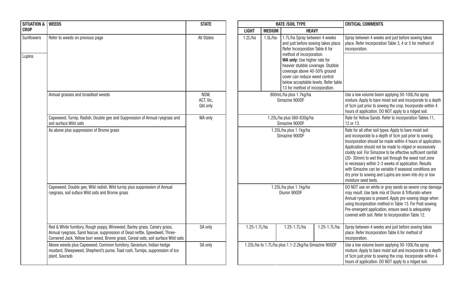| <b>SITUATION &amp;</b> | <b>WEEDS</b>                                                                                                                                                                                                                                 | <b>STATE</b>                  | <b>RATE /SOIL TYPE</b>                   |                                     |                                                                                                                                                                                                                                                                                                                                                      |              | <b>CRITICAL COMMENTS</b>                                                                                                                                                                                                                                              |
|------------------------|----------------------------------------------------------------------------------------------------------------------------------------------------------------------------------------------------------------------------------------------|-------------------------------|------------------------------------------|-------------------------------------|------------------------------------------------------------------------------------------------------------------------------------------------------------------------------------------------------------------------------------------------------------------------------------------------------------------------------------------------------|--------------|-----------------------------------------------------------------------------------------------------------------------------------------------------------------------------------------------------------------------------------------------------------------------|
| <b>CROP</b>            |                                                                                                                                                                                                                                              |                               | <b>LIGHT</b>                             | <b>MEDIUM</b>                       | <b>HEAVY</b>                                                                                                                                                                                                                                                                                                                                         |              |                                                                                                                                                                                                                                                                       |
| Sunflowers<br>Lupins   | Refer to weeds on previous page                                                                                                                                                                                                              | <b>All States</b>             | 1.2L/ha                                  | 1.5L/ha-                            | 1.7L/ha Spray between 4 weeks<br>and just before sowing takes place.<br>Refer Incorporation Table 6 for<br>method of incorporation.<br>WA only: Use higher rate for<br>heavier stubble coverage. Stubble<br>coverage above 40-50% ground<br>cover can reduce weed control<br>below acceptable levels. Refer table<br>13 for method of incorporation. |              | Spray between 4 week<br>place. Refer Incorporati<br>incorporation.                                                                                                                                                                                                    |
|                        | Annual grasses and broadleaf weeds                                                                                                                                                                                                           | NSW.<br>ACT. Vic.<br>Qld only | 800mL/ha plus 1.7kg/ha<br>Simazine 900DF |                                     |                                                                                                                                                                                                                                                                                                                                                      |              | Use a low volume boon<br>mixture. Apply to bare r<br>of 5cm just prior to sov<br>hours of application. DO                                                                                                                                                             |
|                        | Capeweed, Turnip, Radish, Double gee and Suppression of Annual ryegrass and<br>soil surface Wild oats                                                                                                                                        | WA only                       |                                          | Rate for Yellow Sands.<br>12 or 13. |                                                                                                                                                                                                                                                                                                                                                      |              |                                                                                                                                                                                                                                                                       |
|                        | As above plus suppression of Brome grass                                                                                                                                                                                                     |                               | 1.25L/ha plus 1.1kg/ha<br>Simazine 900DF |                                     |                                                                                                                                                                                                                                                                                                                                                      |              | Rate for all other soil ty<br>and incorporate to a de<br>Incorporation should be<br>Application should not<br>cloddy soil. For Simazir<br>(20-30mm) to wet the<br>is necessary within 2-3<br>with Simazine can be v<br>dry prior to sowing and<br>moisture seed beds. |
|                        | Capeweed, Double gee, Wild radish, Wild turnip plus suppression of Annual<br>ryegrass, soil suface Wild oats and Brome grass                                                                                                                 |                               |                                          |                                     | 1.25L/ha plus 1.1kg/ha<br>Diuron 900DF                                                                                                                                                                                                                                                                                                               |              | DO NOT use on white o<br>may result. Use tank m<br>Annual ryegrass is pres<br>using Incorporation me<br>Pre-emergent applicati<br>covered with soil. Refer                                                                                                            |
|                        | Red & White fumitory, Rough poppy, Wireweed, Barley grass, Canary grass,<br>Annual ryegrass, Sand fescue, suppression of Dead nettle, Speedwell, Three-<br>Cornered Jack, Yellow burr weed, Brome grass, Cereal oats, soil surface Wild oats | SA only                       | 1.25-1.7L/ha                             |                                     | 1.25-1.7L/ha                                                                                                                                                                                                                                                                                                                                         | 1.25-1.7L/ha | Spray between 4 week<br>place. Refer Incorporati<br>incorporation.                                                                                                                                                                                                    |
|                        | Above weeds plus Capeweed, Common fumitory, Geranium, Indian hedge<br>mustard, Sheepweed, Shepherd's purse, Toad rush, Turnips, suppression of Ice<br>plant, Soursob                                                                         | SA only                       |                                          |                                     | 1.25L/ha to 1.7L/ha plus 1.1-2.2kg/ha Simazine 900DF                                                                                                                                                                                                                                                                                                 |              | Use a low volume boon<br>mixture. Apply to bare r<br>of 5cm just prior to sov<br>hours of application. DO                                                                                                                                                             |

| <b>STATE</b>                  | <b>RATE /SOIL TYPE</b>                   |              |               |                                                                                                                                                                                                                                                                                                                                                      | <b>CRITICAL COMMENTS</b> |                                                                                                                                                                                                                                                                                                                                                                                                                                                                                                                                                                              |  |  |
|-------------------------------|------------------------------------------|--------------|---------------|------------------------------------------------------------------------------------------------------------------------------------------------------------------------------------------------------------------------------------------------------------------------------------------------------------------------------------------------------|--------------------------|------------------------------------------------------------------------------------------------------------------------------------------------------------------------------------------------------------------------------------------------------------------------------------------------------------------------------------------------------------------------------------------------------------------------------------------------------------------------------------------------------------------------------------------------------------------------------|--|--|
|                               |                                          | <b>LIGHT</b> | <b>MEDIUM</b> | <b>HEAVY</b>                                                                                                                                                                                                                                                                                                                                         |                          |                                                                                                                                                                                                                                                                                                                                                                                                                                                                                                                                                                              |  |  |
| <b>All States</b>             |                                          | 1.2L/ha      | $1.5L/ha-$    | 1.7L/ha Spray between 4 weeks<br>and just before sowing takes place.<br>Refer Incorporation Table 6 for<br>method of incorporation.<br>WA only: Use higher rate for<br>heavier stubble coverage. Stubble<br>coverage above 40-50% ground<br>cover can reduce weed control<br>below acceptable levels. Refer table<br>13 for method of incorporation. |                          | Spray between 4 weeks and just before sowing takes<br>place. Refer Incorporation Table 3, 4 or 5 for method of<br>incorporation.                                                                                                                                                                                                                                                                                                                                                                                                                                             |  |  |
| NSW.<br>ACT, Vic,<br>Qld only |                                          |              |               | 800mL/ha plus 1.7kg/ha<br>Simazine 900DF                                                                                                                                                                                                                                                                                                             |                          | Use a low volume boom applying 50-100L/ha spray<br>mixture. Apply to bare moist soil and incorporate to a depth<br>of 5cm just prior to sowing the crop. Incorporate within 4<br>hours of application. DO NOT apply to a ridged soil.                                                                                                                                                                                                                                                                                                                                        |  |  |
| WA only                       |                                          |              |               | 1.25L/ha plus 560-830q/ha<br>Simazine 900DF                                                                                                                                                                                                                                                                                                          |                          | Rate for Yellow Sands. Refer to incorporation Tables 11.<br>12 or 13.                                                                                                                                                                                                                                                                                                                                                                                                                                                                                                        |  |  |
|                               | 1.25L/ha plus 1.1kg/ha<br>Simazine 900DF |              |               |                                                                                                                                                                                                                                                                                                                                                      |                          | Rate for all other soil types. Apply to bare moist soil<br>and incorporate to a depth of 5cm just prior to sowing.<br>Incorporation should be made within 4 hours of application.<br>Application should not be made to ridged or excessively<br>cloddy soil. For Simazine to be effective sufficient rainfall<br>(20-30mm) to wet the soil through the weed root zone<br>is necessary within 2-3 weeks of application. Results<br>with Simazine can be variable if seasonal conditions are<br>dry prior to sowing and Lupins are sown into dry or low<br>moisture seed beds. |  |  |
|                               |                                          |              |               | 1.25L/ha plus 1.1kg/ha<br>Diuron 900DF                                                                                                                                                                                                                                                                                                               |                          | DO NOT use on white or grey sands as severe crop damage<br>may result. Use tank mix of Diuron & Trifluralin where<br>Annual ryegrass is present. Apply pre-sowing stage when<br>using Incorporation method in Table 13. For Post-sowing<br>Pre-emergent application, ensure seed is adequately<br>covered with soil. Refer to Incorporation Table 12.                                                                                                                                                                                                                        |  |  |
| SA only                       |                                          | 1.25-1.7L/ha |               | 1.25-1.7L/ha                                                                                                                                                                                                                                                                                                                                         | 1.25-1.7L/ha             | Spray between 4 weeks and just before sowing takes<br>place. Refer Incorporation Table 6 for method of<br>incorporation.                                                                                                                                                                                                                                                                                                                                                                                                                                                     |  |  |
| SA only                       |                                          |              |               | 1.25L/ha to 1.7L/ha plus 1.1-2.2kg/ha Simazine 900DF                                                                                                                                                                                                                                                                                                 |                          | Use a low volume boom applying 50-100L/ha spray<br>mixture. Apply to bare moist soil and incorporate to a depth<br>of 5cm just prior to sowing the crop. Incorporate within 4<br>hours of application. DO NOT apply to a ridged soil.                                                                                                                                                                                                                                                                                                                                        |  |  |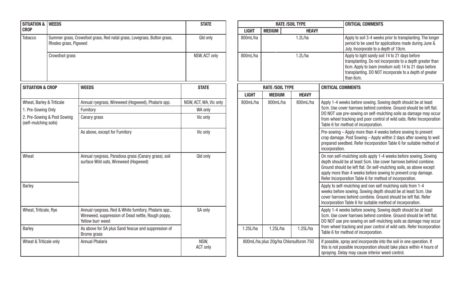| SITUATION & WEEDS           |                             |                                                                                                                                 | <b>STATE</b>            |                                        |                               | <b>RATE /SOIL TYPE</b>                                                                                                                                                                 | <b>CRITICAL COMMENTS</b>                                                                                                                                                                                                                                                                                           |
|-----------------------------|-----------------------------|---------------------------------------------------------------------------------------------------------------------------------|-------------------------|----------------------------------------|-------------------------------|----------------------------------------------------------------------------------------------------------------------------------------------------------------------------------------|--------------------------------------------------------------------------------------------------------------------------------------------------------------------------------------------------------------------------------------------------------------------------------------------------------------------|
| <b>CROP</b>                 |                             |                                                                                                                                 |                         | <b>LIGHT</b>                           | <b>MEDIUM</b><br><b>HEAVY</b> |                                                                                                                                                                                        |                                                                                                                                                                                                                                                                                                                    |
| Tobacco                     | Rhodes grass, Pigweed       | Summer grass, Crowsfoot grass, Red natal grass, Lovegrass, Button grass,                                                        | Qld only                | 800mL/ha                               | 1.2L/ha                       |                                                                                                                                                                                        | Apply to soil 3-4 weeks prior to transplanting. TI<br>period to be used for applications made during,<br>July. Incorporate to a depth of 10cm.                                                                                                                                                                     |
|                             | Crowsfoot grass             |                                                                                                                                 | NSW, ACT only           | 800mL/ha                               |                               | 1.2L/ha                                                                                                                                                                                | Apply to light sandy soil 14 to 21 days before<br>transplanting. Do not incorporate to a depth grea<br>6cm. Apply to loam (medium soil) 14 to 21 days<br>transplanting. DO NOT incorporate to a depth of<br>than 6cm.                                                                                              |
| <b>SITUATION &amp; CROP</b> |                             | <b>WEEDS</b>                                                                                                                    | <b>STATE</b>            |                                        | <b>RATE /SOIL TYPE</b>        |                                                                                                                                                                                        | <b>CRITICAL COMMENTS</b>                                                                                                                                                                                                                                                                                           |
|                             |                             |                                                                                                                                 |                         | <b>LIGHT</b>                           | <b>MEDIUM</b>                 | <b>HEAVY</b>                                                                                                                                                                           |                                                                                                                                                                                                                                                                                                                    |
| Wheat, Barley & Triticale   |                             | Annual ryegrass, Wireweed (Hogweed), Phalaris spp.                                                                              | NSW, ACT, WA, Vic only  | 800mL/ha                               | 800mL/ha                      | 800mL/ha                                                                                                                                                                               | Apply 1-4 weeks before sowing. Sowing depth should be at                                                                                                                                                                                                                                                           |
| 1. Pre-Sowing Only          |                             | Fumitory                                                                                                                        | WA only                 |                                        |                               |                                                                                                                                                                                        | 5cm. Use cover harrows behind combine. Ground should be<br>DO NOT use pre-sowing on self-mulching soils as damage n                                                                                                                                                                                                |
| (self-mulching soils)       | 2. Pre-Sowing & Post Sowing | Canary grass                                                                                                                    | Vic only                |                                        |                               |                                                                                                                                                                                        | from wheel tracking and poor control of wild oats. Refer Inco<br>Table 6 for method of incorporation.                                                                                                                                                                                                              |
|                             |                             | As above, except for Fumitory                                                                                                   | Vic only                |                                        |                               |                                                                                                                                                                                        | Pre-sowing - Apply more than 4 weeks before sowing to pre<br>crop damage. Post Sowing - Apply within 2 days after sowing<br>prepared seedbed. Refer Incorporation Table 6 for suitable m<br>incorporation.                                                                                                         |
| Wheat                       |                             | Annual ryegrass, Paradoxa grass (Canary grass), soil<br>surface Wild oats, Wireweed (Hoqweed)                                   | Qld only                |                                        |                               |                                                                                                                                                                                        | On non self-mulching soils apply 1-4 weeks before sowing.<br>depth should be at least 5cm. Use cover harrows behind cor<br>Ground should be left flat. On self-mulching soils, as above a<br>apply more than 4 weeks before sowing to prevent crop dan<br>Refer Incorporation Table 6 for method of incorporation. |
| Barley                      |                             |                                                                                                                                 |                         |                                        |                               |                                                                                                                                                                                        | Apply to self-mulching and non self mulching soils from 1-4<br>weeks before sowing. Sowing depth should be at least 5cm.<br>cover harrows behind combine. Ground should be left flat. Re<br>Incorporation Table 6 for suitable method of incorporation.                                                            |
| Wheat, Triticale, Rye       |                             | Annual ryegrass, Red & White fumitory, Phalaris spp.,<br>Wireweed, suppression of Dead nettle, Rough poppy,<br>Yellow burr weed | SA only                 |                                        |                               |                                                                                                                                                                                        | Apply 1-4 weeks before sowing. Sowing depth should be at<br>5cm. Use cover harrows behind combine. Ground should be<br>DO NOT use pre-sowing on self-mulching soils as damage n                                                                                                                                    |
| Barley                      |                             | As above for SA plus Sand fescue and suppression of<br>Brome grass                                                              |                         | 1.25L/ha                               | 1.25L/ha                      | 1.25L/ha                                                                                                                                                                               | from wheel tracking and poor control of wild oats. Refer Inco<br>Table 6 for method of incorporation.                                                                                                                                                                                                              |
| Wheat & Triticale only      |                             | <b>Annual Phalaris</b>                                                                                                          | NSW.<br><b>ACT only</b> | 800mL/ha plus 20q/ha Chlorsulfuron 750 |                               | If possible, spray and incorporate into the soil in one operation<br>this is not possible incorporation should take place within 4<br>spraying. Delay may cause inferior weed control. |                                                                                                                                                                                                                                                                                                                    |

| <b>WEEDS</b>            |                                                                                                                                 | <b>STATE</b>            |              |                                        | <b>RATE /SOIL TYPE</b> | <b>CRITICAL COMMENTS</b> |                                                                                                                                                                                                                                                                                                                                         |  |  |
|-------------------------|---------------------------------------------------------------------------------------------------------------------------------|-------------------------|--------------|----------------------------------------|------------------------|--------------------------|-----------------------------------------------------------------------------------------------------------------------------------------------------------------------------------------------------------------------------------------------------------------------------------------------------------------------------------------|--|--|
|                         |                                                                                                                                 |                         | <b>LIGHT</b> | <b>MEDIUM</b><br><b>HEAVY</b>          |                        |                          |                                                                                                                                                                                                                                                                                                                                         |  |  |
| Rhodes grass, Pigweed   | Summer grass, Crowsfoot grass, Red natal grass, Lovegrass, Button grass,                                                        | Qld only                | 800mL/ha     | 1.2L/ha                                |                        |                          | Apply to soil 3-4 weeks prior to transplanting. The longer<br>period to be used for applications made during June &<br>July. Incorporate to a depth of 10cm.                                                                                                                                                                            |  |  |
| Crowsfoot grass         |                                                                                                                                 | NSW, ACT only           | 800mL/ha     | 1.2L/ha                                |                        |                          | Apply to light sandy soil 14 to 21 days before<br>transplanting. Do not incorporate to a depth greater than<br>6cm. Apply to loam (medium soil) 14 to 21 days before<br>transplanting. DO NOT incorporate to a depth of greater<br>than 6cm.                                                                                            |  |  |
| <b>ROP</b>              | <b>WEEDS</b>                                                                                                                    | <b>STATE</b>            |              | <b>RATE /SOIL TYPE</b>                 |                        | <b>CRITICAL COMMENTS</b> |                                                                                                                                                                                                                                                                                                                                         |  |  |
|                         |                                                                                                                                 |                         | <b>LIGHT</b> | <b>MEDIUM</b>                          | <b>HEAVY</b>           |                          |                                                                                                                                                                                                                                                                                                                                         |  |  |
| & Triticale             | Annual ryegrass, Wireweed (Hogweed), Phalaris spp.                                                                              | NSW, ACT, WA, Vic only  | 800mL/ha     | 800mL/ha                               | 800mL/ha               |                          | Apply 1-4 weeks before sowing. Sowing depth should be at least                                                                                                                                                                                                                                                                          |  |  |
| Onlv                    | Fumitory                                                                                                                        | WA only                 |              |                                        |                        |                          | 5cm. Use cover harrows behind combine. Ground should be left flat.<br>DO NOT use pre-sowing on self-mulching soils as damage may occur                                                                                                                                                                                                  |  |  |
| & Post Sowing<br>soils) | Canary grass                                                                                                                    | Vic only                |              |                                        |                        |                          | from wheel tracking and poor control of wild oats. Refer Incorporation<br>Table 6 for method of incorporation.                                                                                                                                                                                                                          |  |  |
|                         | As above, except for Fumitory                                                                                                   | Vic only                |              |                                        |                        | incorporation.           | Pre-sowing - Apply more than 4 weeks before sowing to prevent<br>crop damage. Post Sowing - Apply within 2 days after sowing to well<br>prepared seedbed. Refer Incorporation Table 6 for suitable method of                                                                                                                            |  |  |
|                         | Annual ryegrass, Paradoxa grass (Canary grass), soil<br>surface Wild oats, Wireweed (Hoqweed)                                   | Qld only                |              |                                        |                        |                          | On non self-mulching soils apply 1-4 weeks before sowing. Sowing<br>depth should be at least 5cm. Use cover harrows behind combine.<br>Ground should be left flat. On self-mulching soils, as above except<br>apply more than 4 weeks before sowing to prevent crop damage.<br>Refer Incorporation Table 6 for method of incorporation. |  |  |
|                         |                                                                                                                                 |                         |              |                                        |                        |                          | Apply to self-mulching and non self mulching soils from 1-4<br>weeks before sowing. Sowing depth should be at least 5cm. Use<br>cover harrows behind combine. Ground should be left flat. Refer<br>Incorporation Table 6 for suitable method of incorporation.                                                                          |  |  |
| , Rye                   | Annual ryegrass, Red & White fumitory, Phalaris spp.,<br>Wireweed, suppression of Dead nettle, Rough poppy,<br>Yellow burr weed | SA only                 |              |                                        |                        |                          | Apply 1-4 weeks before sowing. Sowing depth should be at least<br>5cm. Use cover harrows behind combine. Ground should be left flat.<br>DO NOT use pre-sowing on self-mulching soils as damage may occur                                                                                                                                |  |  |
|                         | As above for SA plus Sand fescue and suppression of<br>Brome grass                                                              |                         | 1.25L/ha     | 1.25L/ha                               | 1.25L/ha               |                          | from wheel tracking and poor control of wild oats. Refer Incorporation<br>Table 6 for method of incorporation.                                                                                                                                                                                                                          |  |  |
| le only                 | <b>Annual Phalaris</b>                                                                                                          | NSW,<br><b>ACT only</b> |              | 800mL/ha plus 20q/ha Chlorsulfuron 750 |                        |                          | If possible, spray and incorporate into the soil in one operation. If<br>this is not possible incorporation should take place within 4 hours of<br>spraying. Delay may cause inferior weed control.                                                                                                                                     |  |  |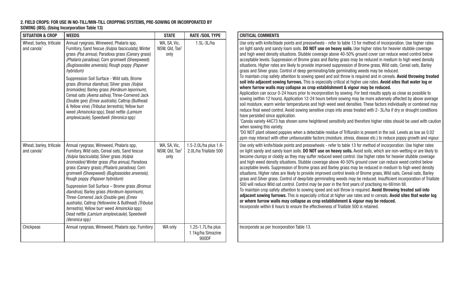#### 2. FIELD CROPS: FOR USE IN NO-TILL/MIN-TILL CROPPING SYSTEMS, PRE-SOWING OR INCORPORATED BY SOWING (IBS). (Using Incorporation Table 13)

| <b>SITUATION &amp; CROP</b>                         | <b>WEEDS</b>                                                                                                                                                                                                                                                                                                                                                                                                                                                                                                                                                                                                                                                            | <b>STATE</b>                                       | <b>RATE /SOIL TYPE</b>                          | <b>CRITICAL COMMENTS</b>                                                                                                                                                                                                                                                                                                                                                                                                                                                         |
|-----------------------------------------------------|-------------------------------------------------------------------------------------------------------------------------------------------------------------------------------------------------------------------------------------------------------------------------------------------------------------------------------------------------------------------------------------------------------------------------------------------------------------------------------------------------------------------------------------------------------------------------------------------------------------------------------------------------------------------------|----------------------------------------------------|-------------------------------------------------|----------------------------------------------------------------------------------------------------------------------------------------------------------------------------------------------------------------------------------------------------------------------------------------------------------------------------------------------------------------------------------------------------------------------------------------------------------------------------------|
| Wheat, barley, triticale<br>and canola <sup>1</sup> | Annual ryegrass, Wireweed, Phalaris spp,<br>Fumitory. Sand fescue (Vulpia fasciculata). Winter<br>grass (Poa annua), Paradoxa grass (Canary grass)<br>(Phalaris paradoxa), Corn gromwell (Sheepweed)<br>(Buglossoides anvensis), Rough poppy (Papaver<br>hybridum)<br>Suppression Soil Surface - Wild oats, Brome<br>grass (Bromus diandrus), Silver grass (Vulpia<br>bromoides), Barley grass (Hordeum leporinum),<br>Cereal oats (Avena sativa), Three-Cornered Jack<br>(Double gee) (Emex australis), Caltrop (Bullhead<br>& Yellow vine) (Tribulus terrestris), Yellow burr<br>weed (Amsinckia spp), Dead nettle (Lamium<br>amplexicaule), Speedwell (Veronica spp) | WA, SA, Vic,<br>NSW, Qld, Tas <sup>2</sup><br>only | $1.5L-3L/ha$                                    | Use only with knife/bla<br>on light sandy and san<br>and high weed density<br>acceptable levels. Supp<br>situations. Higher rates<br>grass and Silver grass.<br>To maintain crop safety<br>soil into adjacent sov<br>where furrow walls n<br>Application can occur (<br>sowing (within 12 hour<br>soil moisture, warm wi<br>reduce final weed cont<br>have persisted since a<br><sup>1</sup> Canola variety 44C73<br>when sowing this varie<br><sup>2</sup> DO NOT plant oilseed |
|                                                     |                                                                                                                                                                                                                                                                                                                                                                                                                                                                                                                                                                                                                                                                         |                                                    |                                                 | ppm may interact with                                                                                                                                                                                                                                                                                                                                                                                                                                                            |
| Wheat, barley, triticale<br>and canola <sup>1</sup> | Annual ryegrass, Wireweed, Phalaris spp,<br>Fumitory, Wild oats, Cereal oats, Sand fescue<br>(Vulpia fasciculata), Silver grass (Vulpia<br>bromoides) Winter grass (Poa annua), Paradoxa<br>grass (Canary grass) (Phalaris paradoxa), Corn<br>gromwell (Sheepweed) (Buglossoides anvensis),<br>Rough poppy (Papaver hybridum)                                                                                                                                                                                                                                                                                                                                           | WA, SA, Vic,<br>NSW, Qld, Tas <sup>2</sup><br>only | 1.5-2.0L/ha plus 1.6-<br>2.0L/ha Triallate 500  | Use only with knife/bla<br>on light sandy and san<br>become clumpy or clod<br>and high weed density<br>acceptable levels. Supp<br>situations. Higher rates<br>grass and Silver grass.<br>500 will reduce Wild or                                                                                                                                                                                                                                                                 |
|                                                     | Suppression Soil Surface - Brome grass (Bromus<br>diandrus), Barley grass (Hordeum leporinum),<br>Three-Cornered Jack (Double gee) (Emex<br>australis), Caltrop (Yellowvine & Bullhead) (Tribulus<br>terrestris). Yellow burr weed Amsinckia spp).<br>Dead nettle (Lamium amplexicaule), Speedwell<br>(Veronica spp)                                                                                                                                                                                                                                                                                                                                                    |                                                    |                                                 | To maintain crop safety<br>adjacent sowing furro<br>or where furrow wall:<br>Incorporate within 6 ho                                                                                                                                                                                                                                                                                                                                                                             |
| Chickpeas                                           | Annual ryegrass, Wireweed, Phalaris spp, Fumitory                                                                                                                                                                                                                                                                                                                                                                                                                                                                                                                                                                                                                       | WA only                                            | 1.25-1.7L/ha plus<br>1.1kg/ha Simazine<br>900DF | Incorporate as per Inco                                                                                                                                                                                                                                                                                                                                                                                                                                                          |

| <b>TE /SOIL TYPE</b>                    | <b>CRITICAL COMMENTS</b>                                                                                                                                                                                                                                                                                                                                                                                                                                                                                                                                                                                                                                                                                                                                                                                                                                                                                                                                                                                                                                                                                                                                                                                                                                                                                                                                                                                                                                                                                                                                                                                                                                                                                                                                                                                                                                                                                                                                                |
|-----------------------------------------|-------------------------------------------------------------------------------------------------------------------------------------------------------------------------------------------------------------------------------------------------------------------------------------------------------------------------------------------------------------------------------------------------------------------------------------------------------------------------------------------------------------------------------------------------------------------------------------------------------------------------------------------------------------------------------------------------------------------------------------------------------------------------------------------------------------------------------------------------------------------------------------------------------------------------------------------------------------------------------------------------------------------------------------------------------------------------------------------------------------------------------------------------------------------------------------------------------------------------------------------------------------------------------------------------------------------------------------------------------------------------------------------------------------------------------------------------------------------------------------------------------------------------------------------------------------------------------------------------------------------------------------------------------------------------------------------------------------------------------------------------------------------------------------------------------------------------------------------------------------------------------------------------------------------------------------------------------------------------|
| $1.5L-3L/ha$                            | Use only with knife/blade points and presswheels - refer to table 13 for method of incorporation. Use higher rates<br>on light sandy and sandy loam soils. DO NOT use on heavy soils. Use higher rates for heavier stubble coverage<br>and high weed density situations. Stubble coverage above 40-50% ground cover can reduce weed control below<br>acceptable levels. Suppression of Brome grass and Barley grass may be reduced in medium to high weed density<br>situations. Higher rates are likely to provide improved suppression of Brome grass. Wild oats, Cereal oats, Barley<br>grass and Silver grass. Control of deep germinating/late germinating weeds may be reduced.<br>To maintain crop safety attention to sowing speed and soil throw is required and in cereals. Avoid throwing treated<br>soil into adjacent sowing furrows. This is especially critical at higher use rates. Avoid sites that water log or<br>where furrow walls may collapse as crop establishment & vigour may be reduced.<br>Application can occur 0-24 hours prior to incorporation by sowing. For best results apply as close as possible to<br>sowing (within 12 hours). Application 12-24 hours before sowing may be more adversely affected by above average<br>soil moisture, warm winter temperatures and high weed seed densities. These factors individually or combined may<br>reduce final weed control. Avoid sowing sensitive crops into areas treated with 2-3L/ha if dry or drought conditions<br>have persisted since application.<br><sup>1</sup> Canola variety 44C73 has shown some heightened sensitivity and therefore higher rates should be used with caution<br>when sowing this variety.<br><sup>2</sup> DO NOT plant oilseed poppies when a detectable residue of Trifluralin is present in the soil. Levels as low as 0.02<br>ppm may interact with other unfavourable factors (moisture, stress, disease etc.) to reduce poppy growth and vigour. |
| $.0$ L/ha plus 1.6-<br>ha Triallate 500 | Use only with knife/blade points and presswheels - refer to table 13 for method of incorporation. Use higher rates<br>on light sandy and sandy loam soils. DO NOT use on heavy soils. Avoid soils, which are non-wetting or are likely to<br>become clumpy or cloddy as they may suffer reduced weed control. Use higher rates for heavier stubble coverage<br>and high weed density situations. Stubble coverage above 40-50% ground cover can reduce weed control below<br>acceptable levels. Suppression of Brome grass and Barley grass may be reduced in medium to high weed density<br>situations. Higher rates are likely to provide improved control levels of Brome grass, Wild oats, Cereal oats, Barley<br>grass and Silver grass. Control of deep/late germinating weeds may be reduced. Insufficient incorporation of Triallate<br>500 will reduce Wild oat control. Control may be poor in the first years of practising no-till/min till.<br>To maintain crop safety attention to sowing speed and soil throw is required. Avoid throwing treated soil into<br>adiacent sowing furrows. This is especially critical at higher use rates and in cereals. Avoid sites that water log<br>or where furrow walls may collapse as crop establishment & vigour may be reduced.<br>Incorporate within 6 hours to ensure the effectiveness of Triallate 500 is retained.                                                                                                                                                                                                                                                                                                                                                                                                                                                                                                                                                                                          |

s per Incorporation Table 13.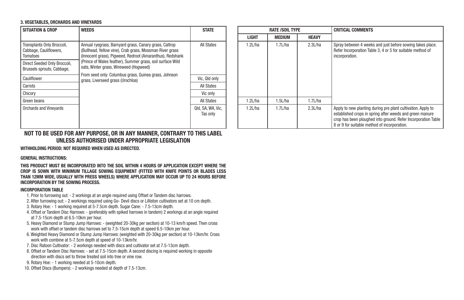#### 3. VEGETABLES, ORCHARDS AND VINEYARDS

| <b>SITUATION &amp; CROP</b>                                      | <b>WEEDS</b>                                                                                                                                                                    | <b>STATE</b>                  |  |              | <b>RATE /SOIL TYPE</b> |              | <b>CRITICAL COMMENTS</b>                                                                             |
|------------------------------------------------------------------|---------------------------------------------------------------------------------------------------------------------------------------------------------------------------------|-------------------------------|--|--------------|------------------------|--------------|------------------------------------------------------------------------------------------------------|
|                                                                  |                                                                                                                                                                                 |                               |  | <b>LIGHT</b> | MEDIUM                 | <b>HEAVY</b> |                                                                                                      |
| Transplants Only Broccoli,<br>Cabbage, Cauliflowers.<br>Tomatoes | Annual ryegrass, Barnyard grass, Canary grass, Caltrop<br>(Bullhead, Yellow vine). Crab grass, Mossman River grass<br>(Innocent grass), Pigweed, Redroot (Amaranthus), Redshank | All States                    |  | 1.2L/ha      | 1.7L/ha                | 2.3L/ha      | Spray between 4 week<br>Refer Incorporation Tab<br>incorporation.                                    |
| Direct Seeded Only Broccoli.<br>Brussels sprouts, Cabbage,       | (Prince of Wales feather), Summer grass, soil surface Wild<br>oats, Winter grass, Wireweed (Hogweed)                                                                            |                               |  |              |                        |              |                                                                                                      |
| Cauliflower                                                      | From seed only: Columbus grass, Guinea grass, Johnson<br>grass, Liverseed grass (Urochloa)                                                                                      | Vic, Qld only                 |  |              |                        |              |                                                                                                      |
| Carrots                                                          |                                                                                                                                                                                 | All States                    |  |              |                        |              |                                                                                                      |
| Chicory                                                          |                                                                                                                                                                                 | Vic only                      |  |              |                        |              |                                                                                                      |
| Green beans                                                      |                                                                                                                                                                                 | <b>All States</b>             |  | 1.2L/ha      | 1.5L/ha                | 1.7L/ha      |                                                                                                      |
| <b>Orchards and Vinevards</b>                                    |                                                                                                                                                                                 | Qld, SA, WA, Vic,<br>Tas only |  | 1.2L/ha      | 1.7 $L$ /ha            | 2.3L/ha      | Apply to new planting<br>established crops in sp<br>crop has been ploughe<br>8 or 9 for suitable met |

| <b>STATE</b>               |              | <b>RATE /SOIL TYPE</b> |              | <b>CRITICAL COMMENTS</b>                                                                                                                                                                                                                  |
|----------------------------|--------------|------------------------|--------------|-------------------------------------------------------------------------------------------------------------------------------------------------------------------------------------------------------------------------------------------|
|                            | <b>LIGHT</b> | <b>MEDIUM</b>          | <b>HEAVY</b> |                                                                                                                                                                                                                                           |
| All States                 | 1.2L/ha      | 1.7L/ha                | 2.3L/ha      | Spray between 4 weeks and just before sowing takes place.<br>Refer Incorporation Table 3, 4 or 5 for suitable method of<br>incorporation.                                                                                                 |
| ic, Qld only               |              |                        |              |                                                                                                                                                                                                                                           |
| All States                 |              |                        |              |                                                                                                                                                                                                                                           |
| Vic only                   |              |                        |              |                                                                                                                                                                                                                                           |
| All States                 | 1.2L/ha      | 1.5L/ha                | 1.7L/ha      |                                                                                                                                                                                                                                           |
| , SA, WA, Vic,<br>Tas only | 1.2L/ha      | 1.7L/ha                | 2.3L/ha      | Apply to new planting during pre plant cultivation. Apply to<br>established crops in spring after weeds and green manure<br>crop has been ploughed into ground. Refer Incorporation Table<br>8 or 9 for suitable method of incorporation. |

#### NOT TO BE USED FOR ANY PURPOSE, OR IN ANY MANNER, CONTRARY TO THIS LABEL UNLESS AUTHORISED UNDER APPROPRIATE LEGISLATION

WITHHOLDING PERIOD: NOT REQUIRED WHEN USED AS DIRECTED.

#### GENERAL INSTRUCTIONS:

THIS PRODUCT MUST BE INCORPORATED INTO THE SOIL WITHIN 4 HOURS OF APPLICATION EXCEPT WHERE THE CROP IS SOWN WITH MINIMUM TILLAGE SOWING EQUIPMENT (FITTED WITH KNIFE POINTS OR BLADES LESS THAN 12MM WIDE, USUALLY WITH PRESS WHEELS) WHERE APPLICATION MAY OCCUR UP TO 24 HOURS BEFORE INCORPORATION BY THE SOWING PROCESS.

#### INCORPORATION TABLE

- 1. Prior to furrowing out: 2 workings at an angle required using Offset or Tandem disc harrows.
- 2. After furrowing out: 2 workings required using Go- Devil discs or Lilliston cultivators set at 10 cm depth.
- 3. Rotary Hoe: 1 working required at 5-7.5cm depth. Sugar Cane: 7.5-13cm depth.
- 4. Offset or Tandem Disc Harrows: (preferably with spiked harrows in tandem) 2 workings at an angle required at 7.5-15cm depth at 6.5-10km per hour.
- 5. Heavy Diamond or Stump Jump Harrows: (weighted 20-30kg per section) at 10-13 km/h speed. Then cross work with offset or tandem disc harrows set to 7.5-15cm depth at speed 6.5-10km per hour.
- 6. Weighted Heavy Diamond or Stump Jump Harrows: (weighted with 20-30kg per section) at 10-13km/hr. Cross work with combine at 5-7.5cm depth at speed of 10-13km/hr.
- 7. Disc Ratoon Cultivator: 2 workings needed with discs and cultivator set at 7.5-13cm depth.
- 8. Offset or Tandem Disc Harrows: set at 7.5-15cm depth. A second discing is required working in opposite direction with discs set to throw treated soil into tree or vine row.
- 9. Rotary Hoe: 1 working needed at 5-10cm depth.
- 10. Offset Discs (Bumpers): 2 workings needed at depth of 7.5-13cm.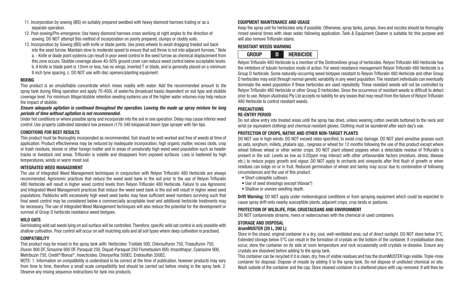- 11. Incorporation by sowing (IBS) on suitably prepared seedbed with heavy diamond harrows trailing or as a separate operation.
- 12. Post-sowing/Pre-emergence: Use heavy diamond harrows cross working at right angles to the direction of sowing. DO NOT attempt this method of incorporation on poorly prepared, clumpy or cloddy soils.
- 13. Incorporation by Sowing (IBS) with knife or blade points. Use press wheels to avoid dragging treated soil back into the seed furrow. Maintain slow to moderate speed to ensure that soil throw is not into adjacent furrows." Note a. - Knife or blade point systems can result in poor weed control in the seed furrow as chemical displacement from this zone occurs. Stubble coverage above 40-50% ground cover can reduce weed control below acceptable levels. b. A Knife or blade point is 12mm or less, has no wings, inverted T or blade, and is generally placed on a minimum 8 inch tyne spacing. c. DO NOT use with disc openers/planting equipment.

#### MIXING

This product is an emulsifiable concentrate which mixes readily with water. Add the recommended amount to the spray tank during filling operation and apply 70-450L of water/ha (broadcast basis) dependent on soil type and stubble coverage level. For minimum tillage/stubble retention seeding systems use of the higher water volumes may help reduce the impact of stubble.

#### *Ensure adequate agitation is continued throughout the operation. Leaving the made up spray mixture for long periods of time without agitation is not recommended.*

Under hot conditions or where possible spray and incorporate into the soil in one operation. Delay may cause inferior weed control. Use properly calibrated standard low pressure (170-340 kilopascal) boom type sprayer with fan tips.

#### CONDITIONS FOR BEST RESULTS

This product must be thoroughly incorporated as recommended. Soil should be well worked and free of weeds at time of application. Product effectiveness may be reduced by inadequate incorporation, high organic matter, excess clods, crop or trash residues, stones or other foreign matter and in areas of unnaturally high weed seed population such as header tracks or livestock rest areas. Trifluralin is volatile and disappears from exposed surfaces. Loss is hastened by high temperatures, winds or warm moist soil.

#### INTEGRATED WEED MANAGEMENT

The use of Integrated Weed Management techniques in conjunction with Relyon Trifluralin 480 Herbicide are always recommended. Agronomic practices that reduce the weed seed bank in the soil prior to the use of Relyon Trifluralin 480 Herbicide will result in higher weed control levels from Relyon Trifluralin 480 Herbicide. Failure to use Agronomic and Integrated Weed Management practices that reduce the weed seed bank in the soil will result in higher weed seed populations. Paddocks with excessively high weed seed banks may have sufficient weed numbers surviving such that final weed control may be considered below a commercially acceptable level and additional herbicide treatments may be necessary. The use of Integrated Weed Management techniques will also reduce the potential for the development or survival of Group D herbicide resistance weed biotypes.

#### WILD OATS

Germinating wild oat seeds lying on soil surface will be controlled. Therefore, specific wild oat control is only possible with shallow cultivation. Poor control will occur on self mulching soils and all soil types where deep cultivation is practised.

#### **COMPATIBILITY**

This product may be mixed in the spray tank with: Herbicides: Triallate 500, Chlorsulfuron 750, Triasulfuron 750, Diuron 900 DF, Simazine 900 DF, Paraquat 250, Diquat-Paraquat 250 Flumetsulam 800, Imazethapyr, Cyanazine 900, Metribuzin 750, Credit®/Bonus®, Insecticides: Chlorpyrifos 500EC, Endosulfan 350EC.

NOTE: 1. Information on compatibility is understood to be correct at the time of publication, however products may vary from time to time, therefore a small scale compatibility test should be carried out before mixing in the spray tank. 2. Observe any mixing sequence instructions for tank mix products.

#### EQUIPMENT MAINTENANCE AND USAGE

Keep the spray unit for herbicides only if possible. Otherwise, spray tanks, pumps, lines and nozzles should be thoroughly rinsed several times with clean water following application. Tank & Equipment Cleaner is suitable for this purpose and will also remove Trifluralin stains.

#### RESISTANT WEEDS WARNING



Relyon Trifluralin 480 Herbicide is a member of the Dinitronilines group of herbicides. Relyon Trifluralin 480 Herbicide has the inhibitors of tubulin formation mode of action. For weed resistance management Relyon Trifluralin 480 Herbicide is a Group D herbicide. Some naturally-occurring weed biotypes resistant to Relyon Trifluralin 480 Herbicide and other Group D herbicides may exist through normal genetic variability in any weed population. The resistant individuals can eventually dominate the weed population if these herbicides are used repeatedly. These resistant weeds will not be controlled by Relyon Trifluralin 480 Herbicide or other Group D herbicides. Since the occurrence of resistant weeds is difficult to detect prior to use, Relyon (Australia) Pty Ltd accepts no liability for any losses that may result from the failure of Relyon Trifluralin 480 Herbicide to control resistant weeds.

#### PRECAUTIONS

#### RE-ENTRY PERIOD

Do not allow entry into treated areas until the spray has dried, unless wearing cotton overalls buttoned to the neck and wrist (or equivalent clothing) and chemical resistant gloves. Clothing must be laundered after each day's use.

#### PROTECTION OF CROPS, NATIVE AND OTHER NON-TARGET PLANTS

DO NOT use in high winds. DO NOT exceed rates specified, to avoid crop damage. DO NOT plant sensitive grasses such as oats, sorghum, millets, phalaris spp., ryegrass or wheat for 12 months following the use of this product except where wheat follows wheat or other winter crops. DO NOT plant oilseed poppies when a detectable residue of Trifluralin is present in the soil. Levels as low as 0.02ppm may interact with other unfavourable factors (moisture, stress, disease etc.) to reduce poppy growth and vigour. DO NOT apply to orchards and vineyards after first flush of growth or when residues can lodge on or in fruit. Reduced germination of wheat and barley may occur due to combination of following circumstances and the use of this product:

- Short coleoptile cultivars
- Use of seed dressings (except Vitavax\*)
- Shallow or uneven seedling depth.

**Drift Warning:** DO NOT apply under meteorological conditions or from spraying equipment which could be expected to cause spray drift onto nearby susceptible plants, adjacent crops, crop lands or pastures.

#### PROTECTION OF WILDLIFE, FISH, CRUSTACEANS AND ENVIRONMENT

DO NOT contaminate streams, rivers or watercourses with the chemical or used containers.

#### STORAGE AND DISPOSAL

#### drumMUSTER (20 L, 200 L)

Store in the closed, original container in a dry, cool, well-ventilated area, out of direct sunlight. DO NOT store below 5°C. Extended storage below 5°C can result in the formation of crystals on the bottom of the container. If crystallisation does occur, store the container on its side at room temperature and rock occasionally until crystals re-dissolve. Ensure any crystals are dissolved before adding to the spray tank.

This container can be recycled if it is clean, dry, free of visible residues and has the drumMUSTER logo visible. Triple-rinse container for disposal. Dispose of rinsate by adding it to the spray tank. Do not dispose of undiluted chemical on site. Wash outside of the container and the cap. Store cleaned container in a sheltered place with cap removed. It will then be